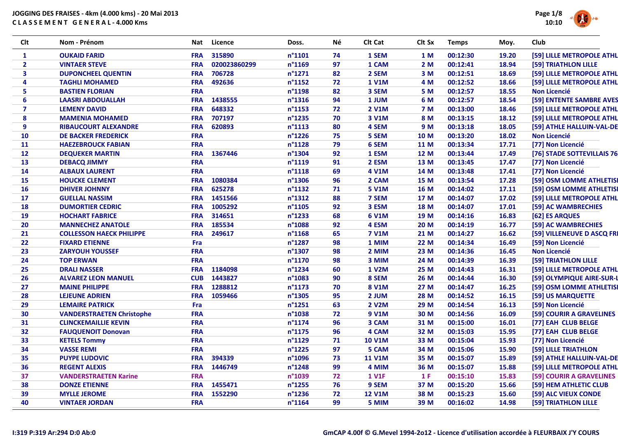

| Clt            | Nom - Prénom                     | Nat        | Licence      | Doss.            | Νé | Clt Cat       | Clt Sx     | <b>Temps</b> | Moy.  | Club                       |
|----------------|----------------------------------|------------|--------------|------------------|----|---------------|------------|--------------|-------|----------------------------|
| $\mathbf{1}$   | <b>OUKAID FARID</b>              | <b>FRA</b> | 315890       | $n^{\circ}1101$  | 74 | 1 SEM         | 1 M        | 00:12:30     | 19.20 | [59] LILLE METROPOLE ATHL  |
| $\overline{2}$ | <b>VINTAER STEVE</b>             | <b>FRA</b> | 020023860299 | n°1169           | 97 | 1 CAM         | 2M         | 00:12:41     | 18.94 | [59] TRIATHLON LILLE       |
| 3              | <b>DUPONCHEEL QUENTIN</b>        | <b>FRA</b> | 706728       | $n^{\circ}$ 1271 | 82 | 2 SEM         | 3 M        | 00:12:51     | 18.69 | [59] LILLE METROPOLE ATHL  |
| 4              | <b>TAGHLI MOHAMED</b>            | <b>FRA</b> | 492636       | $n^{\circ}$ 1152 | 72 | <b>1 V1M</b>  | 4 M        | 00:12:52     | 18.66 | [59] LILLE METROPOLE ATHL  |
| 5              | <b>BASTIEN FLORIAN</b>           | <b>FRA</b> |              | n°1198           | 82 | 3 SEM         | 5 M        | 00:12:57     | 18.55 | <b>Non Licencié</b>        |
| 6              | <b>LAASRI ABDOUALLAH</b>         | <b>FRA</b> | 1438555      | $n^{\circ}$ 1316 | 94 | 1 JUM         | 6 M        | 00:12:57     | 18.54 | [59] ENTENTE SAMBRE AVES   |
| $\overline{7}$ | <b>LEMENY DAVID</b>              | <b>FRA</b> | 648332       | $n^{\circ}$ 1153 | 72 | <b>2 V1M</b>  | <b>7 M</b> | 00:13:00     | 18.46 | [59] LILLE METROPOLE ATHL  |
| 8              | <b>MAMENIA MOHAMED</b>           | <b>FRA</b> | 707197       | n°1235           | 70 | 3 V1M         | 8 M        | 00:13:15     | 18.12 | [59] LILLE METROPOLE ATHL  |
| 9              | <b>RIBAUCOURT ALEXANDRE</b>      | <b>FRA</b> | 620893       | $n^{\circ}$ 1113 | 80 | 4 SEM         | 9 M        | 00:13:18     | 18.05 | [59] ATHLE HALLUIN-VAL-DE  |
| 10             | <b>DE BACKER FREDERICK</b>       | <b>FRA</b> |              | n°1226           | 75 | 5 SEM         | 10 M       | 00:13:20     | 18.02 | <b>Non Licencié</b>        |
| 11             | <b>HAEZEBROUCK FABIAN</b>        | <b>FRA</b> |              | $n^{\circ}$ 1128 | 79 | 6 SEM         | 11 M       | 00:13:34     | 17.71 | [77] Non Licencié          |
| 12             | <b>DEQUEKER MARTIN</b>           | <b>FRA</b> | 1367446      | n°1304           | 92 | 1 ESM         | 12 M       | 00:13:44     | 17.49 | [76] STADE SOTTEVILLAIS 76 |
| 13             | <b>DEBACQ JIMMY</b>              | <b>FRA</b> |              | n°1119           | 91 | 2 ESM         | 13 M       | 00:13:45     | 17.47 | [77] Non Licencié          |
| 14             | <b>ALBAUX LAURENT</b>            | <b>FRA</b> |              | $n^{\circ}1118$  | 69 | 4 V1M         | 14 M       | 00:13:48     | 17.41 | [77] Non Licencié          |
| 15             | <b>HOUCKE CLEMENT</b>            | <b>FRA</b> | 1080384      | n°1306           | 96 | 2 CAM         | 15 M       | 00:13:54     | 17.28 | [59] OSM LOMME ATHLETISI   |
| 16             | <b>DHIVER JOHNNY</b>             | <b>FRA</b> | 625278       | $n^{\circ}$ 1132 | 71 | <b>5 V1M</b>  | 16 M       | 00:14:02     | 17.11 | [59] OSM LOMME ATHLETISI   |
| 17             | <b>GUELLAL NASSIM</b>            | <b>FRA</b> | 1451566      | $n^{\circ}$ 1312 | 88 | 7 SEM         | 17 M       | 00:14:07     | 17.02 | [59] LILLE METROPOLE ATHL  |
| 18             | <b>DUMORTIER CEDRIC</b>          | <b>FRA</b> | 1005292      | $n^{\circ}$ 1105 | 92 | 3 ESM         | 18 M       | 00:14:07     | 17.01 | [59] AC WAMBRECHIES        |
| 19             | <b>HOCHART FABRICE</b>           | <b>FRA</b> | 314651       | n°1233           | 68 | <b>6 V1M</b>  | 19 M       | 00:14:16     | 16.83 | [62] ES ARQUES             |
| 20             | <b>MANNECHEZ ANATOLE</b>         | <b>FRA</b> | 185534       | n°1088           | 92 | 4 ESM         | 20 M       | 00:14:19     | 16.77 | [59] AC WAMBRECHIES        |
| 21             | <b>COLLESSON HAECK PHILIPPE</b>  | <b>FRA</b> | 249617       | $n^{\circ}$ 1168 | 65 | <b>7 V1M</b>  | 21 M       | 00:14:27     | 16.62 | [59] VILLENEUVE D ASCQ FRI |
| 22             | <b>FIXARD ETIENNE</b>            | Fra        |              | n°1287           | 98 | 1 MIM         | 22 M       | 00:14:34     | 16.49 | [59] Non Licencié          |
| 23             | <b>ZARYOUH YOUSSEF</b>           | <b>FRA</b> |              | n°1307           | 98 | 2 MIM         | 23 M       | 00:14:36     | 16.45 | <b>Non Licencié</b>        |
| 24             | <b>TOP ERWAN</b>                 | <b>FRA</b> |              | $n^{\circ}$ 1170 | 98 | 3 MIM         | 24 M       | 00:14:39     | 16.39 | [59] TRIATHLON LILLE       |
| 25             | <b>DRALI NASSER</b>              | <b>FRA</b> | 1184098      | n°1234           | 60 | <b>1 V2M</b>  | 25 M       | 00:14:43     | 16.31 | [59] LILLE METROPOLE ATHL  |
| 26             | <b>ALVAREZ LEON MANUEL</b>       | <b>CUB</b> | 1443827      | n°1083           | 90 | 8 SEM         | 26 M       | 00:14:44     | 16.30 | [59] OLYMPIQUE AIRE-SUR-L  |
| 27             | <b>MAINE PHILIPPE</b>            | <b>FRA</b> | 1288812      | $n^{\circ}$ 1173 | 70 | <b>8 V1M</b>  | 27 M       | 00:14:47     | 16.25 | [59] OSM LOMME ATHLETISI   |
| 28             | <b>LEJEUNE ADRIEN</b>            | <b>FRA</b> | 1059466      | $n^{\circ}$ 1305 | 95 | 2 JUM         | 28 M       | 00:14:52     | 16.15 | [59] US MARQUETTE          |
| 29             | <b>LEMAIRE PATRICK</b>           | Fra        |              | $n^{\circ}$ 1251 | 63 | 2 V2M         | 29 M       | 00:14:54     | 16.13 | [59] Non Licencié          |
| 30             | <b>VANDERSTRAETEN Christophe</b> | <b>FRA</b> |              | n°1038           | 72 | <b>9 V1M</b>  | 30 M       | 00:14:56     | 16.09 | [59] COURIR A GRAVELINES   |
| 31             | <b>CLINCKEMAILLIE KEVIN</b>      | <b>FRA</b> |              | n°1174           | 96 | 3 CAM         | 31 M       | 00:15:00     | 16.01 | [77] EAH CLUB BELGE        |
| 32             | <b>FAUQUENOIT Donovan</b>        | <b>FRA</b> |              | $n^{\circ}$ 1175 | 96 | 4 CAM         | 32 M       | 00:15:03     | 15.95 | [77] EAH CLUB BELGE        |
| 33             | <b>KETELS Tommy</b>              | <b>FRA</b> |              | n°1129           | 71 | <b>10 V1M</b> | 33 M       | 00:15:04     | 15.93 | [77] Non Licencié          |
| 34             | <b>VASSE REMI</b>                | <b>FRA</b> |              | $n^{\circ}$ 1225 | 97 | 5 CAM         | 34 M       | 00:15:06     | 15.90 | [59] LILLE TRIATHLON       |
| 35             | <b>PUYPE LUDOVIC</b>             | <b>FRA</b> | 394339       | n°1096           | 73 | <b>11 V1M</b> | 35 M       | 00:15:07     | 15.89 | [59] ATHLE HALLUIN-VAL-DE  |
| 36             | <b>REGENT ALEXIS</b>             | <b>FRA</b> | 1446749      | n°1248           | 99 | 4 MIM         | 36 M       | 00:15:07     | 15.88 | [59] LILLE METROPOLE ATHL  |
| 37             | <b>VANDERSTRAETEN Karine</b>     | <b>FRA</b> |              | n°1039           | 72 | <b>1 V1F</b>  | 1 F        | 00:15:10     | 15.83 | [59] COURIR A GRAVELINES   |
| 38             | <b>DONZE ETIENNE</b>             | <b>FRA</b> | 1455471      | $n^{\circ}$ 1255 | 76 | 9 SEM         | 37 M       | 00:15:20     | 15.66 | [59] HEM ATHLETIC CLUB     |
| 39             | <b>MYLLE JEROME</b>              | <b>FRA</b> | 1552290      | n°1236           | 72 | <b>12 V1M</b> | 38 M       | 00:15:23     | 15.60 | [59] ALC VIEUX CONDE       |
| 40             | <b>VINTAER JORDAN</b>            | <b>FRA</b> |              | $n^{\circ}$ 1164 | 99 | 5 MIM         | 39 M       | 00:16:02     | 14.98 | [59] TRIATHLON LILLE       |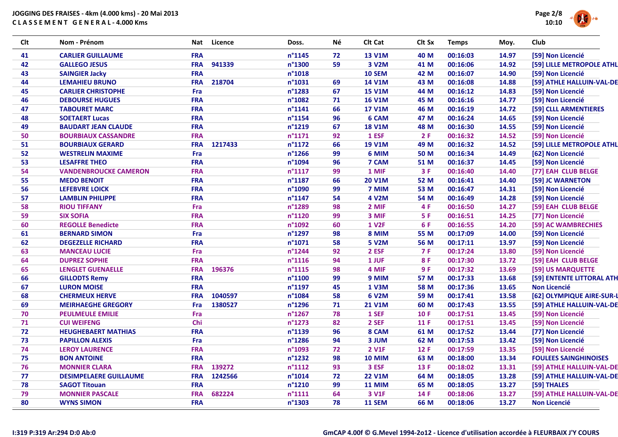

| Clt | Nom - Prénom                  | Licence<br>Nat        | Doss.            | Νé | Clt Cat       | Clt Sx     | <b>Temps</b> | Moy.  | Club                         |
|-----|-------------------------------|-----------------------|------------------|----|---------------|------------|--------------|-------|------------------------------|
| 41  | <b>CARLIER GUILLAUME</b>      | <b>FRA</b>            | $n^{\circ}$ 1145 | 72 | <b>13 V1M</b> | 40 M       | 00:16:03     | 14.97 | [59] Non Licencié            |
| 42  | <b>GALLEGO JESUS</b>          | 941339<br><b>FRA</b>  | n°1300           | 59 | 3 V2M         | 41 M       | 00:16:06     | 14.92 | [59] LILLE METROPOLE ATHL    |
| 43  | <b>SAINGIER Jacky</b>         | <b>FRA</b>            | $n^{\circ}1018$  |    | <b>10 SEM</b> | 42 M       | 00:16:07     | 14.90 | [59] Non Licencié            |
| 44  | <b>LEMAHIEU BRUNO</b>         | <b>FRA</b><br>218704  | n°1031           | 69 | <b>14 V1M</b> | 43 M       | 00:16:08     | 14.88 | [59] ATHLE HALLUIN-VAL-DE    |
| 45  | <b>CARLIER CHRISTOPHE</b>     | Fra                   | n°1283           | 67 | <b>15 V1M</b> | 44 M       | 00:16:12     | 14.83 | [59] Non Licencié            |
| 46  | <b>DEBOURSE HUGUES</b>        | <b>FRA</b>            | n°1082           | 71 | <b>16 V1M</b> | 45 M       | 00:16:16     | 14.77 | [59] Non Licencié            |
| 47  | <b>TABOURET MARC</b>          | <b>FRA</b>            | $n^{\circ}1141$  | 66 | <b>17 V1M</b> | 46 M       | 00:16:19     | 14.72 | [59] CLLL ARMENTIERES        |
| 48  | <b>SOETAERT Lucas</b>         | <b>FRA</b>            | n°1154           | 96 | 6 CAM         | 47 M       | 00:16:24     | 14.65 | [59] Non Licencié            |
| 49  | <b>BAUDART JEAN CLAUDE</b>    | <b>FRA</b>            | n°1219           | 67 | <b>18 V1M</b> | 48 M       | 00:16:30     | 14.55 | [59] Non Licencié            |
| 50  | <b>BOURBIAUX CASSANDRE</b>    | <b>FRA</b>            | $n^{\circ}1171$  | 92 | 1 ESF         | 2F         | 00:16:32     | 14.52 | [59] Non Licencié            |
| 51  | <b>BOURBIAUX GERARD</b>       | 1217433<br><b>FRA</b> | $n^{\circ}1172$  | 66 | <b>19 V1M</b> | 49 M       | 00:16:32     | 14.52 | [59] LILLE METROPOLE ATHL    |
| 52  | <b>WESTRELIN MAXIME</b>       | Fra                   | $n^{\circ}$ 1266 | 99 | 6 MIM         | 50 M       | 00:16:34     | 14.49 | [62] Non Licencié            |
| 53  | <b>LESAFFRE THEO</b>          | <b>FRA</b>            | n°1094           | 96 | 7 CAM         | 51 M       | 00:16:37     | 14.45 | [59] Non Licencié            |
| 54  | <b>VANDENBROUCKE CAMERON</b>  | <b>FRA</b>            | $n^{\circ}1117$  | 99 | 1 MIF         | 3F         | 00:16:40     | 14.40 | [77] EAH CLUB BELGE          |
| 55  | <b>MEDO BENOIT</b>            | <b>FRA</b>            | n°1187           | 66 | <b>20 V1M</b> | 52 M       | 00:16:41     | 14.40 | [59] JC WARNETON             |
| 56  | <b>LEFEBVRE LOICK</b>         | <b>FRA</b>            | n°1090           | 99 | 7 MIM         | 53 M       | 00:16:47     | 14.31 | [59] Non Licencié            |
| 57  | <b>LAMBLIN PHILIPPE</b>       | <b>FRA</b>            | $n^{\circ}$ 1147 | 54 | 4 V2M         | 54 M       | 00:16:49     | 14.28 | [59] Non Licencié            |
| 58  | <b>RIOU TIFFANY</b>           | Fra                   | n°1289           | 98 | 2 MIF         | 4 F        | 00:16:50     | 14.27 | [59] EAH CLUB BELGE          |
| 59  | <b>SIX SOFIA</b>              | <b>FRA</b>            | n°1120           | 99 | 3 MIF         | 5 F        | 00:16:51     | 14.25 | [77] Non Licencié            |
| 60  | <b>REGOLLE Benedicte</b>      | <b>FRA</b>            | n°1092           | 60 | <b>1 V2F</b>  | 6 F        | 00:16:55     | 14.20 | [59] AC WAMBRECHIES          |
| 61  | <b>BERNARD SIMON</b>          | Fra                   | n°1297           | 98 | 8 MIM         | 55 M       | 00:17:09     | 14.00 | [59] Non Licencié            |
| 62  | <b>DEGEZELLE RICHARD</b>      | <b>FRA</b>            | $n^{\circ}1071$  | 58 | <b>5 V2M</b>  | 56 M       | 00:17:11     | 13.97 | [59] Non Licencié            |
| 63  | <b>MANCEAU LUCIE</b>          | Fra                   | n°1244           | 92 | 2 ESF         | <b>7 F</b> | 00:17:24     | 13.80 | [59] Non Licencié            |
| 64  | <b>DUPREZ SOPHIE</b>          | <b>FRA</b>            | $n^{\circ}1116$  | 94 | 1 JUF         | 8F         | 00:17:30     | 13.72 | [59] EAH CLUB BELGE          |
| 65  | <b>LENGLET GUENAELLE</b>      | <b>FRA</b><br>196376  | $n^{\circ}1115$  | 98 | 4 MIF         | 9F         | 00:17:32     | 13.69 | [59] US MARQUETTE            |
| 66  | <b>GILLODTS Remy</b>          | <b>FRA</b>            | $n^{\circ}1100$  | 99 | 9 MIM         | 57 M       | 00:17:33     | 13.68 | [59] ENTENTE LITTORAL ATH    |
| 67  | <b>LURON MOISE</b>            | <b>FRA</b>            | n°1197           | 45 | <b>1 V3M</b>  | 58 M       | 00:17:36     | 13.65 | <b>Non Licencié</b>          |
| 68  | <b>CHERMEUX HERVE</b>         | 1040597<br><b>FRA</b> | n°1084           | 58 | <b>6 V2M</b>  | 59 M       | 00:17:41     | 13.58 | [62] OLYMPIQUE AIRE-SUR-L    |
| 69  | <b>MEIRHAEGHE GREGORY</b>     | 1380527<br>Fra        | n°1296           | 71 | <b>21 V1M</b> | 60 M       | 00:17:43     | 13.55 | [59] ATHLE HALLUIN-VAL-DE    |
| 70  | <b>PEULMEULE EMILIE</b>       | Fra                   | n°1267           | 78 | 1 SEF         | <b>10F</b> | 00:17:51     | 13.45 | [59] Non Licencié            |
| 71  | <b>CUI WEIFENG</b>            | Chi                   | n°1273           | 82 | 2 SEF         | 11 F       | 00:17:51     | 13.45 | [59] Non Licencié            |
| 72  | <b>HEUGHEBAERT MATHIAS</b>    | <b>FRA</b>            | n°1139           | 96 | 8 CAM         | 61 M       | 00:17:52     | 13.44 | [77] Non Licencié            |
| 73  | <b>PAPILLON ALEXIS</b>        | Fra                   | n°1286           | 94 | 3 JUM         | 62 M       | 00:17:53     | 13.42 | [59] Non Licencié            |
| 74  | <b>LEROY LAURENCE</b>         | <b>FRA</b>            | n°1093           | 72 | <b>2 V1F</b>  | 12F        | 00:17:59     | 13.35 | [59] Non Licencié            |
| 75  | <b>BON ANTOINE</b>            | <b>FRA</b>            | n°1232           | 98 | <b>10 MIM</b> | 63 M       | 00:18:00     | 13.34 | <b>FOULEES SAINGHINOISES</b> |
| 76  | <b>MONNIER CLARA</b>          | 139272<br><b>FRA</b>  | $n^{\circ}1112$  | 93 | 3 ESF         | 13 F       | 00:18:02     | 13.31 | [59] ATHLE HALLUIN-VAL-DE    |
| 77  | <b>DESIMPELAERE GUILLAUME</b> | <b>FRA</b><br>1242566 | $n^{\circ}1014$  | 72 | <b>22 V1M</b> | 64 M       | 00:18:05     | 13.28 | [59] ATHLE HALLUIN-VAL-DE    |
| 78  | <b>SAGOT Titouan</b>          | <b>FRA</b>            | $n^{\circ}$ 1210 | 99 | <b>11 MIM</b> | 65 M       | 00:18:05     | 13.27 | [59] THALES                  |
| 79  | <b>MONNIER PASCALE</b>        | <b>FRA</b><br>682224  | $n^{\circ}1111$  | 64 | 3 V1F         | 14 F       | 00:18:06     | 13.27 | [59] ATHLE HALLUIN-VAL-DE    |
| 80  | <b>WYNS SIMON</b>             | <b>FRA</b>            | n°1303           | 78 | <b>11 SEM</b> | 66 M       | 00:18:06     | 13.27 | <b>Non Licencié</b>          |
|     |                               |                       |                  |    |               |            |              |       |                              |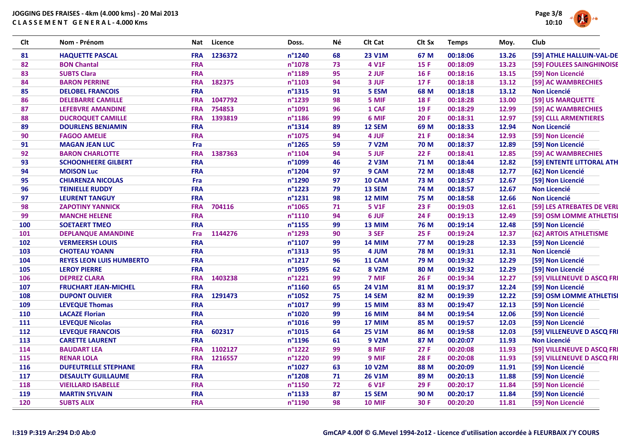

| Clt | Nom - Prénom                    | Nat        | <b>Licence</b> | Doss.            | Né | Clt Cat       | Clt Sx      | <b>Temps</b> | Moy.  | Club                       |
|-----|---------------------------------|------------|----------------|------------------|----|---------------|-------------|--------------|-------|----------------------------|
| 81  | <b>HAQUETTE PASCAL</b>          | <b>FRA</b> | 1236372        | n°1240           | 68 | <b>23 V1M</b> | 67 M        | 00:18:06     | 13.26 | [59] ATHLE HALLUIN-VAL-DE  |
| 82  | <b>BON Chantal</b>              | <b>FRA</b> |                | n°1078           | 73 | <b>4 V1F</b>  | <b>15 F</b> | 00:18:09     | 13.23 | [59] FOULEES SAINGHINOISE  |
| 83  | <b>SUBTS Clara</b>              | <b>FRA</b> |                | n°1189           | 95 | 2 JUF         | 16F         | 00:18:16     | 13.15 | [59] Non Licencié          |
| 84  | <b>BARON PERRINE</b>            | <b>FRA</b> | 182375         | n°1103           | 94 | 3 JUF         | 17 F        | 00:18:18     | 13.12 | [59] AC WAMBRECHIES        |
| 85  | <b>DELOBEL FRANCOIS</b>         | <b>FRA</b> |                | n°1315           | 91 | 5 ESM         | 68 M        | 00:18:18     | 13.12 | <b>Non Licencié</b>        |
| 86  | <b>DELEBARRE CAMILLE</b>        | <b>FRA</b> | 1047792        | n°1239           | 98 | 5 MIF         | 18F         | 00:18:28     | 13.00 | [59] US MARQUETTE          |
| 87  | <b>LEFEBVRE AMANDINE</b>        | <b>FRA</b> | 754853         | n°1091           | 96 | 1 CAF         | 19F         | 00:18:29     | 12.99 | [59] AC WAMBRECHIES        |
| 88  | <b>DUCROQUET CAMILLE</b>        | <b>FRA</b> | 1393819        | n°1186           | 99 | 6 MIF         | 20F         | 00:18:31     | 12.97 | [59] CLLL ARMENTIERES      |
| 89  | <b>DOURLENS BENJAMIN</b>        | <b>FRA</b> |                | n°1314           | 89 | 12 SEM        | 69 M        | 00:18:33     | 12.94 | <b>Non Licencié</b>        |
| 90  | <b>FAGOO AMELIE</b>             | <b>FRA</b> |                | n°1075           | 94 | 4 JUF         | 21F         | 00:18:34     | 12.93 | [59] Non Licencié          |
| 91  | <b>MAGAN JEAN LUC</b>           | Fra        |                | $n^{\circ}$ 1265 | 59 | <b>7 V2M</b>  | <b>70 M</b> | 00:18:37     | 12.89 | [59] Non Licencié          |
| 92  | <b>BARON CHARLOTTE</b>          | <b>FRA</b> | 1387363        | n°1104           | 94 | 5 JUF         | 22F         | 00:18:41     | 12.85 | [59] AC WAMBRECHIES        |
| 93  | <b>SCHOONHEERE GILBERT</b>      | <b>FRA</b> |                | n°1099           | 46 | 2 V3M         | 71 M        | 00:18:44     | 12.82 | [59] ENTENTE LITTORAL ATH  |
| 94  | <b>MOISON Luc</b>               | <b>FRA</b> |                | n°1204           | 97 | 9 CAM         | <b>72 M</b> | 00:18:48     | 12.77 | [62] Non Licencié          |
| 95  | <b>CHIARENZA NICOLAS</b>        | Fra        |                | n°1290           | 97 | 10 CAM        | 73 M        | 00:18:57     | 12.67 | [59] Non Licencié          |
| 96  | <b>TEINIELLE RUDDY</b>          | <b>FRA</b> |                | n°1223           | 79 | 13 SEM        | <b>74 M</b> | 00:18:57     | 12.67 | <b>Non Licencié</b>        |
| 97  | <b>LEURENT TANGUY</b>           | <b>FRA</b> |                | n°1231           | 98 | 12 MIM        | <b>75 M</b> | 00:18:58     | 12.66 | <b>Non Licencié</b>        |
| 98  | <b>ZAPOTINY YANNICK</b>         | <b>FRA</b> | 704116         | n°1065           | 71 | <b>5 V1F</b>  | 23 F        | 00:19:03     | 12.61 | [59] LES ATREBATES DE VERL |
| 99  | <b>MANCHE HELENE</b>            | <b>FRA</b> |                | $n^{\circ}1110$  | 94 | 6 JUF         | 24 F        | 00:19:13     | 12.49 | [59] OSM LOMME ATHLETISI   |
| 100 | <b>SOETAERT TMEO</b>            | <b>FRA</b> |                | n°1155           | 99 | 13 MIM        | 76 M        | 00:19:14     | 12.48 | [59] Non Licencié          |
| 101 | <b>DEPLANQUE AMANDINE</b>       | Fra        | 1144276        | n°1293           | 90 | 3 SEF         | 25 F        | 00:19:24     | 12.37 | [62] ARTOIS ATHLETISME     |
| 102 | <b>VERMEERSH LOUIS</b>          | <b>FRA</b> |                | $n^{\circ}1107$  | 99 | 14 MIM        | <b>77 M</b> | 00:19:28     | 12.33 | [59] Non Licencié          |
| 103 | <b>CHOTEAU YOANN</b>            | <b>FRA</b> |                | n°1313           | 95 | 4 JUM         | <b>78 M</b> | 00:19:31     | 12.31 | <b>Non Licencié</b>        |
| 104 | <b>REYES LEON LUIS HUMBERTO</b> | <b>FRA</b> |                | n°1217           | 96 | 11 CAM        | 79 M        | 00:19:32     | 12.29 | [59] Non Licencié          |
| 105 | <b>LEROY PIERRE</b>             | <b>FRA</b> |                | n°1095           | 62 | <b>8 V2M</b>  | 80 M        | 00:19:32     | 12.29 | [59] Non Licencié          |
| 106 | <b>DEPREZ CLARA</b>             | <b>FRA</b> | 1403238        | n°1221           | 99 | 7 MIF         | <b>26 F</b> | 00:19:34     | 12.27 | [59] VILLENEUVE D ASCQ FRI |
| 107 | <b>FRUCHART JEAN-MICHEL</b>     | <b>FRA</b> |                | n°1160           | 65 | <b>24 V1M</b> | 81 M        | 00:19:37     | 12.24 | [59] Non Licencié          |
| 108 | <b>DUPONT OLIVIER</b>           | <b>FRA</b> | 1291473        | n°1052           | 75 | <b>14 SEM</b> | 82 M        | 00:19:39     | 12.22 | [59] OSM LOMME ATHLETISI   |
| 109 | <b>LEVEQUE Thomas</b>           | <b>FRA</b> |                | n°1017           | 99 | 15 MIM        | 83 M        | 00:19:47     | 12.13 | [59] Non Licencié          |
| 110 | <b>LACAZE Florian</b>           | <b>FRA</b> |                | n°1020           | 99 | <b>16 MIM</b> | 84 M        | 00:19:54     | 12.06 | [59] Non Licencié          |
| 111 | <b>LEVEQUE Nicolas</b>          | <b>FRA</b> |                | n°1016           | 99 | 17 MIM        | 85 M        | 00:19:57     | 12.03 | [59] Non Licencié          |
| 112 | <b>LEVEQUE FRANCOIS</b>         | <b>FRA</b> | 602317         | $n^{\circ}1015$  | 64 | <b>25 V1M</b> | 86 M        | 00:19:58     | 12.03 | [59] VILLENEUVE D ASCQ FRI |
| 113 | <b>CARETTE LAURENT</b>          | <b>FRA</b> |                | n°1196           | 61 | 9 V2M         | 87 M        | 00:20:07     | 11.93 | <b>Non Licencié</b>        |
| 114 | <b>BAUDART LEA</b>              | <b>FRA</b> | 1102127        | n°1222           | 99 | 8 MIF         | 27F         | 00:20:08     | 11.93 | [59] VILLENEUVE D ASCQ FRI |
| 115 | <b>RENAR LOLA</b>               | <b>FRA</b> | 1216557        | n°1220           | 99 | 9 MIF         | <b>28 F</b> | 00:20:08     | 11.93 | [59] VILLENEUVE D ASCQ FRI |
| 116 | <b>DUFEUTRELLE STEPHANE</b>     | <b>FRA</b> |                | n°1027           | 63 | <b>10 V2M</b> | 88 M        | 00:20:09     | 11.91 | [59] Non Licencié          |
| 117 | <b>DESAULTY GUILLAUME</b>       | <b>FRA</b> |                | n°1208           | 71 | <b>26 V1M</b> | 89 M        | 00:20:13     | 11.88 | [59] Non Licencié          |
| 118 | <b>VIEILLARD ISABELLE</b>       | <b>FRA</b> |                | n°1150           | 72 | <b>6 V1F</b>  | 29 F        | 00:20:17     | 11.84 | [59] Non Licencié          |
| 119 | <b>MARTIN SYLVAIN</b>           | <b>FRA</b> |                | n°1133           | 87 | 15 SEM        | 90 M        | 00:20:17     | 11.84 | [59] Non Licencié          |
| 120 | <b>SUBTS ALIX</b>               | <b>FRA</b> |                | n°1190           | 98 | <b>10 MIF</b> | 30 F        | 00:20:20     | 11.81 | [59] Non Licencié          |
|     |                                 |            |                |                  |    |               |             |              |       |                            |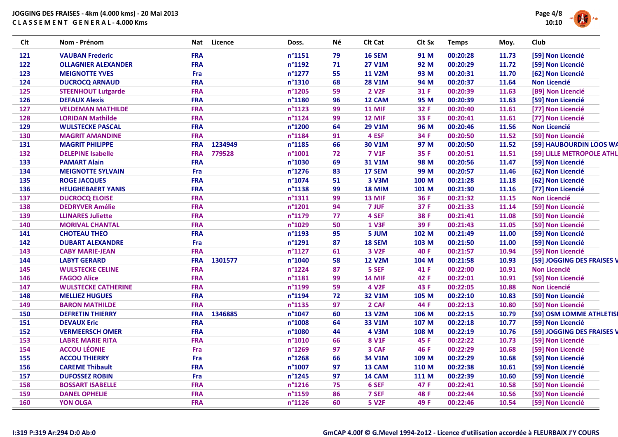

| <b>Clt</b> | Nom - Prénom               | Nat        | <b>Licence</b> | Doss.            | Νé | Clt Cat            | Clt Sx | <b>Temps</b> | Moy.  | Club                       |
|------------|----------------------------|------------|----------------|------------------|----|--------------------|--------|--------------|-------|----------------------------|
| 121        | <b>VAUBAN Frederic</b>     | <b>FRA</b> |                | $n^{\circ}1151$  | 79 | <b>16 SEM</b>      | 91 M   | 00:20:28     | 11.73 | [59] Non Licencié          |
| 122        | <b>OLLAGNIER ALEXANDER</b> | <b>FRA</b> |                | n°1192           | 71 | <b>27 V1M</b>      | 92 M   | 00:20:29     | 11.72 | [59] Non Licencié          |
| 123        | <b>MEIGNOTTE YVES</b>      | Fra        |                | n°1277           | 55 | <b>11 V2M</b>      | 93 M   | 00:20:31     | 11.70 | [62] Non Licencié          |
| 124        | <b>DUCROCQ ARNAUD</b>      | <b>FRA</b> |                | n°1310           | 68 | <b>28 V1M</b>      | 94 M   | 00:20:37     | 11.64 | <b>Non Licencié</b>        |
| 125        | <b>STEENHOUT Lutgarde</b>  | <b>FRA</b> |                | n°1205           | 59 | 2 V <sub>2</sub> F | 31 F   | 00:20:39     | 11.63 | [B9] Non Licencié          |
| 126        | <b>DEFAUX Alexis</b>       | <b>FRA</b> |                | n°1180           | 96 | 12 CAM             | 95 M   | 00:20:39     | 11.63 | [59] Non Licencié          |
| 127        | <b>VELDEMAN MATHILDE</b>   | <b>FRA</b> |                | $n^{\circ}1123$  | 99 | <b>11 MIF</b>      | 32 F   | 00:20:40     | 11.61 | [77] Non Licencié          |
| 128        | <b>LORIDAN Mathilde</b>    | <b>FRA</b> |                | $n^{\circ}$ 1124 | 99 | 12 MIF             | 33 F   | 00:20:41     | 11.61 | [77] Non Licencié          |
| 129        | <b>WULSTECKE PASCAL</b>    | <b>FRA</b> |                | n°1200           | 64 | <b>29 V1M</b>      | 96 M   | 00:20:46     | 11.56 | <b>Non Licencié</b>        |
| 130        | <b>MAGRIT AMANDINE</b>     | <b>FRA</b> |                | n°1184           | 91 | 4 ESF              | 34 F   | 00:20:50     | 11.52 | [59] Non Licencié          |
| 131        | <b>MAGRIT PHILIPPE</b>     | <b>FRA</b> | 1234949        | n°1185           | 66 | 30 V1M             | 97 M   | 00:20:50     | 11.52 | [59] HAUBOURDIN LOOS WA    |
| 132        | <b>DELEPINE Isabelle</b>   | <b>FRA</b> | 779528         | $n^{\circ}1001$  | 72 | <b>7 V1F</b>       | 35 F   | 00:20:51     | 11.51 | [59] LILLE METROPOLE ATHL  |
| 133        | <b>PAMART Alain</b>        | <b>FRA</b> |                | n°1030           | 69 | 31 V1M             | 98 M   | 00:20:56     | 11.47 | [59] Non Licencié          |
| 134        | <b>MEIGNOTTE SYLVAIN</b>   | Fra        |                | n°1276           | 83 | 17 SEM             | 99 M   | 00:20:57     | 11.46 | [62] Non Licencié          |
| 135        | <b>ROGE JACQUES</b>        | <b>FRA</b> |                | n°1074           | 51 | 3 V3M              | 100 M  | 00:21:28     | 11.18 | [62] Non Licencié          |
| 136        | <b>HEUGHEBAERT YANIS</b>   | <b>FRA</b> |                | $n^{\circ}$ 1138 | 99 | <b>18 MIM</b>      | 101 M  | 00:21:30     | 11.16 | [77] Non Licencié          |
| 137        | <b>DUCROCQ ELOISE</b>      | <b>FRA</b> |                | $n^{\circ}$ 1311 | 99 | <b>13 MIF</b>      | 36 F   | 00:21:32     | 11.15 | <b>Non Licencié</b>        |
| 138        | <b>DEDRYVER Amélie</b>     | <b>FRA</b> |                | n°1201           | 94 | 7 JUF              | 37 F   | 00:21:33     | 11.14 | [59] Non Licencié          |
| 139        | <b>LLINARES Juliette</b>   | <b>FRA</b> |                | n°1179           | 77 | 4 SEF              | 38 F   | 00:21:41     | 11.08 | [59] Non Licencié          |
| 140        | <b>MORIVAL CHANTAL</b>     | <b>FRA</b> |                | n°1029           | 50 | <b>1 V3F</b>       | 39 F   | 00:21:43     | 11.05 | [59] Non Licencié          |
| 141        | <b>CHOTEAU THEO</b>        | <b>FRA</b> |                | n°1193           | 95 | 5 JUM              | 102 M  | 00:21:49     | 11.00 | [59] Non Licencié          |
| 142        | <b>DUBART ALEXANDRE</b>    | Fra        |                | n°1291           | 87 | <b>18 SEM</b>      | 103 M  | 00:21:50     | 11.00 | [59] Non Licencié          |
| 143        | <b>CABY MARIE-JEAN</b>     | <b>FRA</b> |                | $n^{\circ}1127$  | 61 | 3 V <sub>2F</sub>  | 40 F   | 00:21:57     | 10.94 | [59] Non Licencié          |
| 144        | <b>LABYT GERARD</b>        | <b>FRA</b> | 1301577        | n°1040           | 58 | <b>12 V2M</b>      | 104 M  | 00:21:58     | 10.93 | [59] JOGGING DES FRAISES V |
| 145        | <b>WULSTECKE CELINE</b>    | <b>FRA</b> |                | n°1224           | 87 | 5 SEF              | 41 F   | 00:22:00     | 10.91 | <b>Non Licencié</b>        |
| 146        | <b>FAGOO Alice</b>         | <b>FRA</b> |                | n°1181           | 99 | <b>14 MIF</b>      | 42 F   | 00:22:01     | 10.91 | [59] Non Licencié          |
| 147        | <b>WULSTECKE CATHERINE</b> | <b>FRA</b> |                | n°1199           | 59 | <b>4 V2F</b>       | 43 F   | 00:22:05     | 10.88 | <b>Non Licencié</b>        |
| 148        | <b>MELLIEZ HUGUES</b>      | <b>FRA</b> |                | n°1194           | 72 | <b>32 V1M</b>      | 105 M  | 00:22:10     | 10.83 | [59] Non Licencié          |
| 149        | <b>BARON MATHILDE</b>      | <b>FRA</b> |                | n°1135           | 97 | 2 CAF              | 44 F   | 00:22:13     | 10.80 | [59] Non Licencié          |
| 150        | <b>DEFRETIN THIERRY</b>    | <b>FRA</b> | 1346885        | n°1047           | 60 | <b>13 V2M</b>      | 106 M  | 00:22:15     | 10.79 | [59] OSM LOMME ATHLETISI   |
| 151        | <b>DEVAUX Eric</b>         | <b>FRA</b> |                | n°1008           | 64 | 33 V1M             | 107 M  | 00:22:18     | 10.77 | [59] Non Licencié          |
| 152        | <b>VERMEERSCH OMER</b>     | <b>FRA</b> |                | n°1080           | 44 | <b>4 V3M</b>       | 108 M  | 00:22:19     | 10.76 | [59] JOGGING DES FRAISES V |
| 153        | <b>LABRE MARIE RITA</b>    | <b>FRA</b> |                | $n^{\circ}1010$  | 66 | <b>8 V1F</b>       | 45 F   | 00:22:22     | 10.73 | [59] Non Licencié          |
| 154        | <b>ACCOU LÉONIE</b>        | Fra        |                | n°1269           | 97 | 3 CAF              | 46 F   | 00:22:29     | 10.68 | [59] Non Licencié          |
| 155        | <b>ACCOU THIERRY</b>       | Fra        |                | n°1268           | 66 | 34 V1M             | 109 M  | 00:22:29     | 10.68 | [59] Non Licencié          |
| 156        | <b>CAREME Thibault</b>     | <b>FRA</b> |                | $n^{\circ}1007$  | 97 | 13 CAM             | 110 M  | 00:22:38     | 10.61 | [59] Non Licencié          |
| 157        | <b>DUFOSSEZ ROBIN</b>      | Fra        |                | n°1245           | 97 | 14 CAM             | 111 M  | 00:22:39     | 10.60 | [59] Non Licencié          |
| 158        | <b>BOSSART ISABELLE</b>    | <b>FRA</b> |                | n°1216           | 75 | 6 SEF              | 47 F   | 00:22:41     | 10.58 | [59] Non Licencié          |
| 159        | <b>DANEL OPHELIE</b>       | <b>FRA</b> |                | n°1159           | 86 | 7 SEF              | 48 F   | 00:22:44     | 10.56 | [59] Non Licencié          |
| 160        | <b>YON OLGA</b>            | <b>FRA</b> |                | n°1126           | 60 | <b>5 V2F</b>       | 49 F   | 00:22:46     | 10.54 | [59] Non Licencié          |
|            |                            |            |                |                  |    |                    |        |              |       |                            |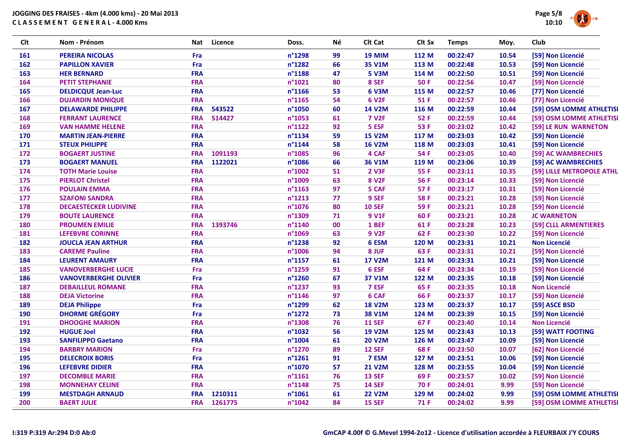

| <b>Clt</b> | Nom - Prénom                 | Nat        | <b>Licence</b> | Doss.            | Νé | Clt Cat       | Clt Sx      | <b>Temps</b> | Moy.  | Club                      |
|------------|------------------------------|------------|----------------|------------------|----|---------------|-------------|--------------|-------|---------------------------|
| 161        | <b>PEREIRA NICOLAS</b>       | Fra        |                | n°1298           | 99 | <b>19 MIM</b> | 112 M       | 00:22:47     | 10.54 | [59] Non Licencié         |
| 162        | <b>PAPILLON XAVIER</b>       | Fra        |                | n°1282           | 66 | 35 V1M        | 113 M       | 00:22:48     | 10.53 | [59] Non Licencié         |
| 163        | <b>HER BERNARD</b>           | <b>FRA</b> |                | n°1188           | 47 | <b>5 V3M</b>  | 114 M       | 00:22:50     | 10.51 | [59] Non Licencié         |
| 164        | <b>PETIT STEPHANIE</b>       | <b>FRA</b> |                | n°1021           | 80 | 8 SEF         | <b>50 F</b> | 00:22:56     | 10.47 | [59] Non Licencié         |
| 165        | <b>DELDICQUE Jean-Luc</b>    | <b>FRA</b> |                | n°1166           | 53 | 6 V3M         | 115 M       | 00:22:57     | 10.46 | [77] Non Licencié         |
| 166        | <b>DUJARDIN MONIQUE</b>      | <b>FRA</b> |                | n°1165           | 54 | <b>6 V2F</b>  | 51 F        | 00:22:57     | 10.46 | [77] Non Licencié         |
| 167        | <b>DELAWARDE PHILIPPE</b>    | <b>FRA</b> | 543522         | n°1050           | 60 | <b>14 V2M</b> | 116 M       | 00:22:59     | 10.44 | [59] OSM LOMME ATHLETIS   |
| 168        | <b>FERRANT LAURENCE</b>      | <b>FRA</b> | 514427         | n°1053           | 61 | <b>7 V2F</b>  | 52 F        | 00:22:59     | 10.44 | [59] OSM LOMME ATHLETIS   |
| 169        | <b>VAN HAMME HELENE</b>      | <b>FRA</b> |                | $n^{\circ}1122$  | 92 | 5 ESF         | 53 F        | 00:23:02     | 10.42 | [59] LE RUN WARNETON      |
| 170        | <b>MARTIN JEAN-PIERRE</b>    | <b>FRA</b> |                | n°1134           | 59 | <b>15 V2M</b> | 117 M       | 00:23:03     | 10.42 | [59] Non Licencié         |
| 171        | <b>STEUX PHILIPPE</b>        | <b>FRA</b> |                | n°1144           | 58 | <b>16 V2M</b> | 118 M       | 00:23:03     | 10.41 | [59] Non Licencié         |
| 172        | <b>BOGAERT JUSTINE</b>       | <b>FRA</b> | 1091193        | n°1085           | 96 | 4 CAF         | 54 F        | 00:23:05     | 10.40 | [59] AC WAMBRECHIES       |
| 173        | <b>BOGAERT MANUEL</b>        | <b>FRA</b> | 1122021        | n°1086           | 66 | 36 V1M        | 119 M       | 00:23:06     | 10.39 | [59] AC WAMBRECHIES       |
| 174        | <b>TOTH Marie Louise</b>     | <b>FRA</b> |                | n°1002           | 51 | <b>2 V3F</b>  | 55 F        | 00:23:11     | 10.35 | [59] LILLE METROPOLE ATHL |
| 175        | <b>PIERLOT Christel</b>      | <b>FRA</b> |                | n°1009           | 63 | <b>8 V2F</b>  | 56 F        | 00:23:14     | 10.33 | [59] Non Licencié         |
| 176        | <b>POULAIN EMMA</b>          | <b>FRA</b> |                | n°1163           | 97 | 5 CAF         | 57 F        | 00:23:17     | 10.31 | [59] Non Licencié         |
| 177        | <b>SZAFONI SANDRA</b>        | <b>FRA</b> |                | $n^{\circ}$ 1213 | 77 | 9 SEF         | <b>58 F</b> | 00:23:21     | 10.28 | [59] Non Licencié         |
| 178        | <b>DECAESTECKER LUDIVINE</b> | <b>FRA</b> |                | n°1076           | 80 | <b>10 SEF</b> | 59 F        | 00:23:21     | 10.28 | [59] Non Licencié         |
| 179        | <b>BOUTE LAURENCE</b>        | <b>FRA</b> |                | n°1309           | 71 | <b>9 V1F</b>  | 60F         | 00:23:21     | 10.28 | <b>JC WARNETON</b>        |
| 180        | <b>PROUMEN EMILIE</b>        | <b>FRA</b> | 1393746        | n°1140           | 00 | 1 BEF         | 61 F        | 00:23:28     | 10.23 | [59] CLLL ARMENTIERES     |
| 181        | <b>LEFEBVRE CORINNE</b>      | <b>FRA</b> |                | n°1069           | 63 | <b>9 V2F</b>  | 62 F        | 00:23:30     | 10.22 | [59] Non Licencié         |
| 182        | <b>JOUCLA JEAN ARTHUR</b>    | <b>FRA</b> |                | n°1238           | 92 | 6 ESM         | 120 M       | 00:23:31     | 10.21 | <b>Non Licencié</b>       |
| 183        | <b>CAREME Pauline</b>        | <b>FRA</b> |                | n°1006           | 94 | 8 JUF         | 63 F        | 00:23:31     | 10.21 | [59] Non Licencié         |
| 184        | <b>LEURENT AMAURY</b>        | <b>FRA</b> |                | n°1157           | 61 | <b>17 V2M</b> | 121 M       | 00:23:31     | 10.21 | [59] Non Licencié         |
| 185        | <b>VANOVERBERGHE LUCIE</b>   | Fra        |                | n°1259           | 91 | 6 ESF         | 64 F        | 00:23:34     | 10.19 | [59] Non Licencié         |
| 186        | <b>VANOVERBERGHE OLIVIER</b> | Fra        |                | n°1260           | 67 | 37 V1M        | 122 M       | 00:23:35     | 10.18 | [59] Non Licencié         |
| 187        | <b>DEBAILLEUL ROMANE</b>     | <b>FRA</b> |                | n°1237           | 93 | 7 ESF         | 65 F        | 00:23:35     | 10.18 | <b>Non Licencié</b>       |
| 188        | <b>DEJA Victorine</b>        | <b>FRA</b> |                | $n^{\circ}$ 1146 | 97 | 6 CAF         | 66 F        | 00:23:37     | 10.17 | [59] Non Licencié         |
| 189        | <b>DEJA Philippe</b>         | Fra        |                | n°1299           | 62 | <b>18 V2M</b> | 123 M       | 00:23:37     | 10.17 | [59] ASCE BSD             |
| 190        | <b>DHORME GRÉGORY</b>        | Fra        |                | n°1272           | 73 | <b>38 V1M</b> | 124 M       | 00:23:39     | 10.15 | [59] Non Licencié         |
| 191        | <b>DHOOGHE MARION</b>        | <b>FRA</b> |                | n°1308           | 76 | <b>11 SEF</b> | 67 F        | 00:23:40     | 10.14 | <b>Non Licencié</b>       |
| 192        | <b>HUGUE Joel</b>            | <b>FRA</b> |                | n°1032           | 56 | <b>19 V2M</b> | 125 M       | 00:23:43     | 10.13 | [59] WATT FOOTING         |
| 193        | <b>SANFILIPPO Gaetano</b>    | <b>FRA</b> |                | n°1004           | 61 | <b>20 V2M</b> | 126 M       | 00:23:47     | 10.09 | [59] Non Licencié         |
| 194        | <b>BARBRY MARION</b>         | Fra        |                | n°1270           | 89 | <b>12 SEF</b> | 68 F        | 00:23:50     | 10.07 | [62] Non Licencié         |
| 195        | <b>DELECROIX BORIS</b>       | Fra        |                | n°1261           | 91 | 7 ESM         | 127 M       | 00:23:51     | 10.06 | [59] Non Licencié         |
| 196        | <b>LEFEBVRE DIDIER</b>       | <b>FRA</b> |                | n°1070           | 57 | <b>21 V2M</b> | 128 M       | 00:23:55     | 10.04 | [59] Non Licencié         |
| 197        | <b>DECOMBLE MARIE</b>        | <b>FRA</b> |                | $n^{\circ}1161$  | 76 | <b>13 SEF</b> | 69 F        | 00:23:57     | 10.02 | [59] Non Licencié         |
| 198        | <b>MONNEHAY CELINE</b>       | <b>FRA</b> |                | $n^{\circ}$ 1148 | 75 | <b>14 SEF</b> | <b>70 F</b> | 00:24:01     | 9.99  | [59] Non Licencié         |
| 199        | <b>MESTDAGH ARNAUD</b>       | <b>FRA</b> | 1210311        | n°1061           | 61 | <b>22 V2M</b> | 129 M       | 00:24:02     | 9.99  | [59] OSM LOMME ATHLETIS   |
| 200        | <b>BAERT JULIE</b>           |            | FRA 1261775    | n°1042           | 84 | <b>15 SEF</b> | <b>71 F</b> | 00:24:02     | 9.99  | [59] OSM LOMME ATHLETIS   |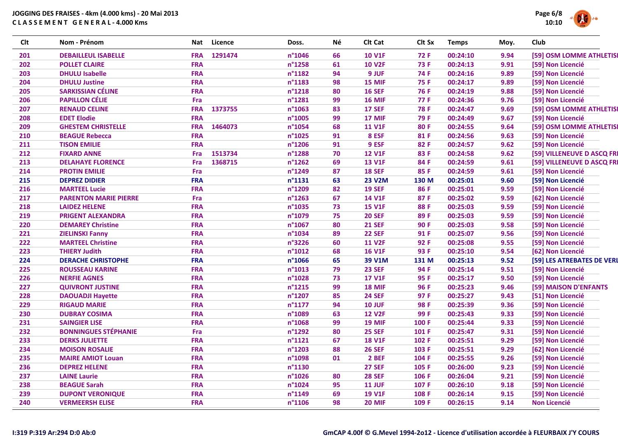

| Clt | Nom - Prénom                 |            | Nat Licence | Doss.           | Νé | Clt Cat       | Clt Sx      | <b>Temps</b> | Moy. | Club                       |
|-----|------------------------------|------------|-------------|-----------------|----|---------------|-------------|--------------|------|----------------------------|
| 201 | <b>DEBAILLEUL ISABELLE</b>   | <b>FRA</b> | 1291474     | n°1046          | 66 | <b>10 V1F</b> | 72 F        | 00:24:10     | 9.94 | [59] OSM LOMME ATHLETIS    |
| 202 | <b>POLLET CLAIRE</b>         | <b>FRA</b> |             | n°1258          | 61 | <b>10 V2F</b> | <b>73 F</b> | 00:24:13     | 9.91 | [59] Non Licencié          |
| 203 | <b>DHULU Isabelle</b>        | <b>FRA</b> |             | n°1182          | 94 | 9 JUF         | 74 F        | 00:24:16     | 9.89 | [59] Non Licencié          |
| 204 | <b>DHULU Justine</b>         | <b>FRA</b> |             | n°1183          | 98 | 15 MIF        | <b>75 F</b> | 00:24:17     | 9.89 | [59] Non Licencié          |
| 205 | <b>SARKISSIAN CÉLINE</b>     | <b>FRA</b> |             | n°1218          | 80 | <b>16 SEF</b> | <b>76 F</b> | 00:24:19     | 9.88 | [59] Non Licencié          |
| 206 | <b>PAPILLON CÉLIE</b>        | Fra        |             | n°1281          | 99 | <b>16 MIF</b> | <b>77 F</b> | 00:24:36     | 9.76 | [59] Non Licencié          |
| 207 | <b>RENAUD CELINE</b>         | <b>FRA</b> | 1373755     | n°1063          | 83 | <b>17 SEF</b> | <b>78 F</b> | 00:24:47     | 9.69 | [59] OSM LOMME ATHLETIS    |
| 208 | <b>EDET Elodie</b>           | <b>FRA</b> |             | n°1005          | 99 | 17 MIF        | 79 F        | 00:24:49     | 9.67 | [59] Non Licencié          |
| 209 | <b>GHESTEM CHRISTELLE</b>    | <b>FRA</b> | 1464073     | n°1054          | 68 | <b>11 V1F</b> | 80F         | 00:24:55     | 9.64 | [59] OSM LOMME ATHLETIS    |
| 210 | <b>BEAGUE Rebecca</b>        | <b>FRA</b> |             | n°1025          | 91 | 8 ESF         | 81 F        | 00:24:56     | 9.63 | [59] Non Licencié          |
| 211 | <b>TISON EMILIE</b>          | <b>FRA</b> |             | n°1206          | 91 | 9 ESF         | 82 F        | 00:24:57     | 9.62 | [59] Non Licencié          |
| 212 | <b>FIXARD ANNE</b>           | Fra        | 1513734     | n°1288          | 70 | <b>12 V1F</b> | 83 F        | 00:24:58     | 9.62 | [59] VILLENEUVE D ASCQ FR  |
| 213 | <b>DELAHAYE FLORENCE</b>     | Fra        | 1368715     | n°1262          | 69 | <b>13 V1F</b> | 84 F        | 00:24:59     | 9.61 | [59] VILLENEUVE D ASCQ FRI |
| 214 | <b>PROTIN EMILIE</b>         | Fra        |             | n°1249          | 87 | <b>18 SEF</b> | 85 F        | 00:24:59     | 9.61 | [59] Non Licencié          |
| 215 | <b>DEPREZ DIDIER</b>         | <b>FRA</b> |             | n°1131          | 63 | <b>23 V2M</b> | 130 M       | 00:25:01     | 9.60 | [59] Non Licencié          |
| 216 | <b>MARTEEL Lucie</b>         | <b>FRA</b> |             | n°1209          | 82 | <b>19 SEF</b> | 86 F        | 00:25:01     | 9.59 | [59] Non Licencié          |
| 217 | <b>PARENTON MARIE PIERRE</b> | Fra        |             | n°1263          | 67 | <b>14 V1F</b> | 87F         | 00:25:02     | 9.59 | [62] Non Licencié          |
| 218 | <b>LAIDEZ HELENE</b>         | <b>FRA</b> |             | n°1035          | 73 | <b>15 V1F</b> | 88F         | 00:25:03     | 9.59 | [59] Non Licencié          |
| 219 | <b>PRIGENT ALEXANDRA</b>     | <b>FRA</b> |             | n°1079          | 75 | <b>20 SEF</b> | 89F         | 00:25:03     | 9.59 | [59] Non Licencié          |
| 220 | <b>DEMAREY Christine</b>     | <b>FRA</b> |             | n°1067          | 80 | <b>21 SEF</b> | 90F         | 00:25:03     | 9.58 | [59] Non Licencié          |
| 221 | <b>ZIELINSKI Fanny</b>       | <b>FRA</b> |             | n°1034          | 89 | <b>22 SEF</b> | 91 F        | 00:25:07     | 9.56 | [59] Non Licencié          |
| 222 | <b>MARTEEL Christine</b>     | <b>FRA</b> |             | n°3226          | 60 | <b>11 V2F</b> | 92 F        | 00:25:08     | 9.55 | [59] Non Licencié          |
| 223 | <b>THIERY Judith</b>         | <b>FRA</b> |             | n°1012          | 68 | <b>16 V1F</b> | 93 F        | 00:25:10     | 9.54 | [62] Non Licencié          |
| 224 | <b>DERACHE CHRISTOPHE</b>    | <b>FRA</b> |             | n°1066          | 65 | 39 V1M        | 131 M       | 00:25:13     | 9.52 | [59] LES ATREBATES DE VERI |
| 225 | <b>ROUSSEAU KARINE</b>       | <b>FRA</b> |             | n°1013          | 79 | <b>23 SEF</b> | 94 F        | 00:25:14     | 9.51 | [59] Non Licencié          |
| 226 | <b>NERFIE AGNES</b>          | <b>FRA</b> |             | n°1028          | 73 | <b>17 V1F</b> | 95 F        | 00:25:17     | 9.50 | [59] Non Licencié          |
| 227 | <b>QUIVRONT JUSTINE</b>      | <b>FRA</b> |             | n°1215          | 99 | <b>18 MIF</b> | 96 F        | 00:25:23     | 9.46 | [59] MAISON D'ENFANTS      |
| 228 | <b>DAOUADJI Hayette</b>      | <b>FRA</b> |             | n°1207          | 85 | <b>24 SEF</b> | 97 F        | 00:25:27     | 9.43 | [51] Non Licencié          |
| 229 | <b>RIGAUD MARIE</b>          | <b>FRA</b> |             | $n^{\circ}1177$ | 94 | <b>10 JUF</b> | 98 F        | 00:25:39     | 9.36 | [59] Non Licencié          |
| 230 | <b>DUBRAY COSIMA</b>         | <b>FRA</b> |             | n°1089          | 63 | <b>12 V2F</b> | 99 F        | 00:25:43     | 9.33 | [59] Non Licencié          |
| 231 | <b>SAINGIER LISE</b>         | <b>FRA</b> |             | n°1068          | 99 | <b>19 MIF</b> | 100 F       | 00:25:44     | 9.33 | [59] Non Licencié          |
| 232 | <b>BONNINGUES STÉPHANIE</b>  | Fra        |             | n°1292          | 80 | <b>25 SEF</b> | 101 F       | 00:25:47     | 9.31 | [59] Non Licencié          |
| 233 | <b>DERKS JULIETTE</b>        | <b>FRA</b> |             | $n^{\circ}1121$ | 67 | <b>18 V1F</b> | 102 F       | 00:25:51     | 9.29 | [59] Non Licencié          |
| 234 | <b>MOISON ROSALIE</b>        | <b>FRA</b> |             | n°1203          | 88 | <b>26 SEF</b> | 103 F       | 00:25:51     | 9.29 | [62] Non Licencié          |
| 235 | <b>MAIRE AMIOT Louan</b>     | <b>FRA</b> |             | n°1098          | 01 | 2 BEF         | 104 F       | 00:25:55     | 9.26 | [59] Non Licencié          |
| 236 | <b>DEPREZ HELENE</b>         | <b>FRA</b> |             | n°1130          |    | <b>27 SEF</b> | 105 F       | 00:26:00     | 9.23 | [59] Non Licencié          |
| 237 | <b>LAINE Laurie</b>          | <b>FRA</b> |             | n°1026          | 80 | <b>28 SEF</b> | 106 F       | 00:26:04     | 9.21 | [59] Non Licencié          |
| 238 | <b>BEAGUE Sarah</b>          | <b>FRA</b> |             | n°1024          | 95 | <b>11 JUF</b> | 107 F       | 00:26:10     | 9.18 | [59] Non Licencié          |
| 239 | <b>DUPONT VERONIQUE</b>      | <b>FRA</b> |             | n°1149          | 69 | <b>19 V1F</b> | 108 F       | 00:26:14     | 9.15 | [59] Non Licencié          |
| 240 | <b>VERMEERSH ELISE</b>       | <b>FRA</b> |             | $n^{\circ}1106$ | 98 | <b>20 MIF</b> | 109 F       | 00:26:15     | 9.14 | <b>Non Licencié</b>        |
|     |                              |            |             |                 |    |               |             |              |      |                            |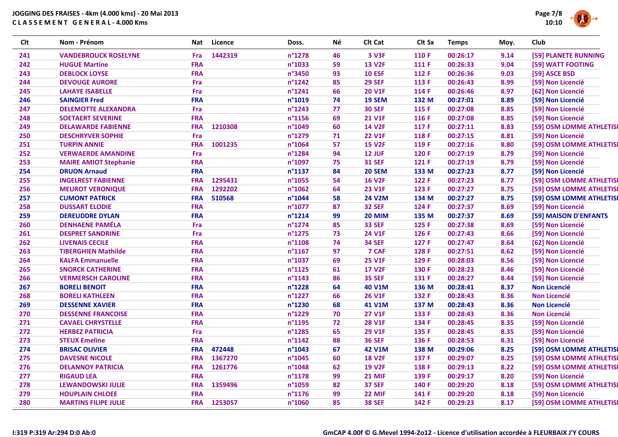

| <b>Clt</b> | Nom - Prénom                 | Nat        | Licence | Doss.            | Νé | Clt Cat       | Clt Sx | <b>Temps</b> | Moy. | Club                    |
|------------|------------------------------|------------|---------|------------------|----|---------------|--------|--------------|------|-------------------------|
| 241        | <b>VANDEBROUCK ROSELYNE</b>  | Fra        | 1442319 | n°1278           | 46 | 3 V3F         | 110 F  | 00:26:17     | 9.14 | [59] PLANETE RUNNING    |
| 242        | <b>HUGUE Martine</b>         | <b>FRA</b> |         | n°1033           | 59 | <b>13 V2F</b> | 111 F  | 00:26:33     | 9.04 | [59] WATT FOOTING       |
| 243        | <b>DEBLOCK LOYSE</b>         | <b>FRA</b> |         | n°3450           | 93 | <b>10 ESF</b> | 112 F  | 00:26:36     | 9.03 | [59] ASCE BSD           |
| 244        | <b>DEVOUGE AURORE</b>        | Fra        |         | $n^{\circ}$ 1242 | 85 | <b>29 SEF</b> | 113 F  | 00:26:43     | 8.99 | [59] Non Licencié       |
| 245        | <b>LAHAYE ISABELLE</b>       | Fra        |         | n°1241           | 66 | <b>20 V1F</b> | 114 F  | 00:26:46     | 8.97 | [62] Non Licencié       |
| 246        | <b>SAINGIER Fred</b>         | <b>FRA</b> |         | n°1019           | 74 | 19 SEM        | 132 M  | 00:27:01     | 8.89 | [59] Non Licencié       |
| 247        | <b>DELEMOTTE ALEXANDRA</b>   | Fra        |         | n°1243           | 77 | <b>30 SEF</b> | 115 F  | 00:27:08     | 8.85 | [59] Non Licencié       |
| 248        | <b>SOETAERT SEVERINE</b>     | <b>FRA</b> |         | n°1156           | 69 | <b>21 V1F</b> | 116 F  | 00:27:08     | 8.85 | [59] Non Licencié       |
| 249        | <b>DELAWARDE FABIENNE</b>    | <b>FRA</b> | 1210308 | n°1049           | 60 | <b>14 V2F</b> | 117 F  | 00:27:11     | 8.83 | [59] OSM LOMME ATHLETIS |
| 250        | <b>DESCHRYVER SOPHIE</b>     | Fra        |         | n°1279           | 71 | <b>22 V1F</b> | 118 F  | 00:27:15     | 8.81 | [59] Non Licencié       |
| 251        | <b>TURPIN ANNIE</b>          | <b>FRA</b> | 1001235 | n°1064           | 57 | <b>15 V2F</b> | 119 F  | 00:27:16     | 8.80 | [59] OSM LOMME ATHLETIS |
| 252        | <b>VERWAERDE AMANDINE</b>    | Fra        |         | n°1284           | 94 | <b>12 JUF</b> | 120 F  | 00:27:19     | 8.79 | [59] Non Licencié       |
| 253        | <b>MAIRE AMIOT Stephanie</b> | <b>FRA</b> |         | n°1097           | 75 | <b>31 SEF</b> | 121 F  | 00:27:19     | 8.79 | [59] Non Licencié       |
| 254        | <b>DRUON Arnaud</b>          | <b>FRA</b> |         | n°1137           | 84 | <b>20 SEM</b> | 133 M  | 00:27:23     | 8.77 | [59] Non Licencié       |
| 255        | <b>INGELREST FABIENNE</b>    | <b>FRA</b> | 1295431 | n°1055           | 54 | <b>16 V2F</b> | 122 F  | 00:27:23     | 8.77 | [59] OSM LOMME ATHLETIS |
| 256        | <b>MEUROT VERONIQUE</b>      | <b>FRA</b> | 1292202 | n°1062           | 64 | <b>23 V1F</b> | 123 F  | 00:27:27     | 8.75 | [59] OSM LOMME ATHLETIS |
| 257        | <b>CUMONT PATRICK</b>        | <b>FRA</b> | 510568  | n°1044           | 58 | <b>24 V2M</b> | 134 M  | 00:27:27     | 8.75 | [59] OSM LOMME ATHLETIS |
| 258        | <b>DUSSART ELODIE</b>        | <b>FRA</b> |         | n°1077           | 87 | <b>32 SEF</b> | 124 F  | 00:27:37     | 8.69 | [59] Non Licencié       |
| 259        | <b>DEREUDDRE DYLAN</b>       | <b>FRA</b> |         | $n^{\circ}$ 1214 | 99 | <b>20 MIM</b> | 135 M  | 00:27:37     | 8.69 | [59] MAISON D'ENFANTS   |
| 260        | <b>DENHAENE PAMÉLA</b>       | Fra        |         | n°1274           | 85 | <b>33 SEF</b> | 125 F  | 00:27:38     | 8.69 | [59] Non Licencié       |
| 261        | <b>DESPRET SANDRINE</b>      | Fra        |         | n°1275           | 73 | <b>24 V1F</b> | 126 F  | 00:27:43     | 8.66 | [59] Non Licencié       |
| 262        | <b>LIVENAIS CECILE</b>       | <b>FRA</b> |         | n°1108           | 74 | <b>34 SEF</b> | 127 F  | 00:27:47     | 8.64 | [62] Non Licencié       |
| 263        | <b>TIBERGHIEN Mathilde</b>   | <b>FRA</b> |         | n°1167           | 97 | 7 CAF         | 128 F  | 00:27:51     | 8.62 | [59] Non Licencié       |
| 264        | <b>KALFA Emmanuelle</b>      | <b>FRA</b> |         | n°1037           | 69 | <b>25 V1F</b> | 129 F  | 00:28:03     | 8.56 | [59] Non Licencié       |
| 265        | <b>SNORCK CATHERINE</b>      | <b>FRA</b> |         | n°1125           | 61 | <b>17 V2F</b> | 130 F  | 00:28:23     | 8.46 | [59] Non Licencié       |
| 266        | <b>VERMERSCH CAROLINE</b>    | <b>FRA</b> |         | $n^{\circ}$ 1143 | 86 | <b>35 SEF</b> | 131 F  | 00:28:27     | 8.44 | [59] Non Licencié       |
| 267        | <b>BORELI BENOIT</b>         | <b>FRA</b> |         | n°1228           | 64 | <b>40 V1M</b> | 136 M  | 00:28:41     | 8.37 | <b>Non Licencié</b>     |
| 268        | <b>BORELI KATHLEEN</b>       | <b>FRA</b> |         | n°1227           | 66 | <b>26 V1F</b> | 132 F  | 00:28:43     | 8.36 | <b>Non Licencié</b>     |
| 269        | <b>DESSENNE XAVIER</b>       | <b>FRA</b> |         | n°1230           | 68 | 41 V1M        | 137 M  | 00:28:43     | 8.36 | <b>Non Licencié</b>     |
| 270        | <b>DESSENNE FRANCOISE</b>    | <b>FRA</b> |         | n°1229           | 70 | <b>27 V1F</b> | 133 F  | 00:28:43     | 8.36 | <b>Non Licencié</b>     |
| 271        | <b>CAVAEL CHRYSTELLE</b>     | <b>FRA</b> |         | n°1195           | 72 | <b>28 V1F</b> | 134 F  | 00:28:45     | 8.35 | [59] Non Licencié       |
| 272        | <b>HERBEZ PATRICIA</b>       | Fra        |         | n°1285           | 65 | <b>29 V1F</b> | 135 F  | 00:28:45     | 8.35 | [59] Non Licencié       |
| 273        | <b>STEUX Emeline</b>         | <b>FRA</b> |         | $n^{\circ}1142$  | 88 | <b>36 SEF</b> | 136 F  | 00:28:53     | 8.31 | [59] Non Licencié       |
| 274        | <b>BRISAC OLIVIER</b>        | <b>FRA</b> | 472448  | n°1043           | 67 | <b>42 V1M</b> | 138 M  | 00:29:06     | 8.25 | [59] OSM LOMME ATHLETIS |
| 275        | <b>DAVESNE NICOLE</b>        | <b>FRA</b> | 1367270 | n°1045           | 60 | <b>18 V2F</b> | 137 F  | 00:29:07     | 8.25 | [59] OSM LOMME ATHLETIS |
| 276        | <b>DELANNOY PATRICIA</b>     | <b>FRA</b> | 1261776 | n°1048           | 62 | <b>19 V2F</b> | 138 F  | 00:29:13     | 8.22 | [59] OSM LOMME ATHLETIS |
| 277        | <b>RIGAUD LEA</b>            | <b>FRA</b> |         | $n^{\circ}$ 1178 | 99 | <b>21 MIF</b> | 139 F  | 00:29:17     | 8.20 | [59] Non Licencié       |
| 278        | <b>LEWANDOWSKI JULIE</b>     | <b>FRA</b> | 1359496 | n°1059           | 82 | <b>37 SEF</b> | 140 F  | 00:29:20     | 8.18 | [59] OSM LOMME ATHLETIS |
| 279        | <b>HOUPLAIN CHLOEE</b>       | <b>FRA</b> |         | n°1176           | 99 | 22 MIF        | 141 F  | 00:29:20     | 8.18 | [59] Non Licencié       |
| 280        | <b>MARTINS FILIPE JULIE</b>  | <b>FRA</b> | 1253057 | n°1060           | 85 | <b>38 SEF</b> | 142 F  | 00:29:23     | 8.17 | [59] OSM LOMME ATHLETIS |
|            |                              |            |         |                  |    |               |        |              |      |                         |